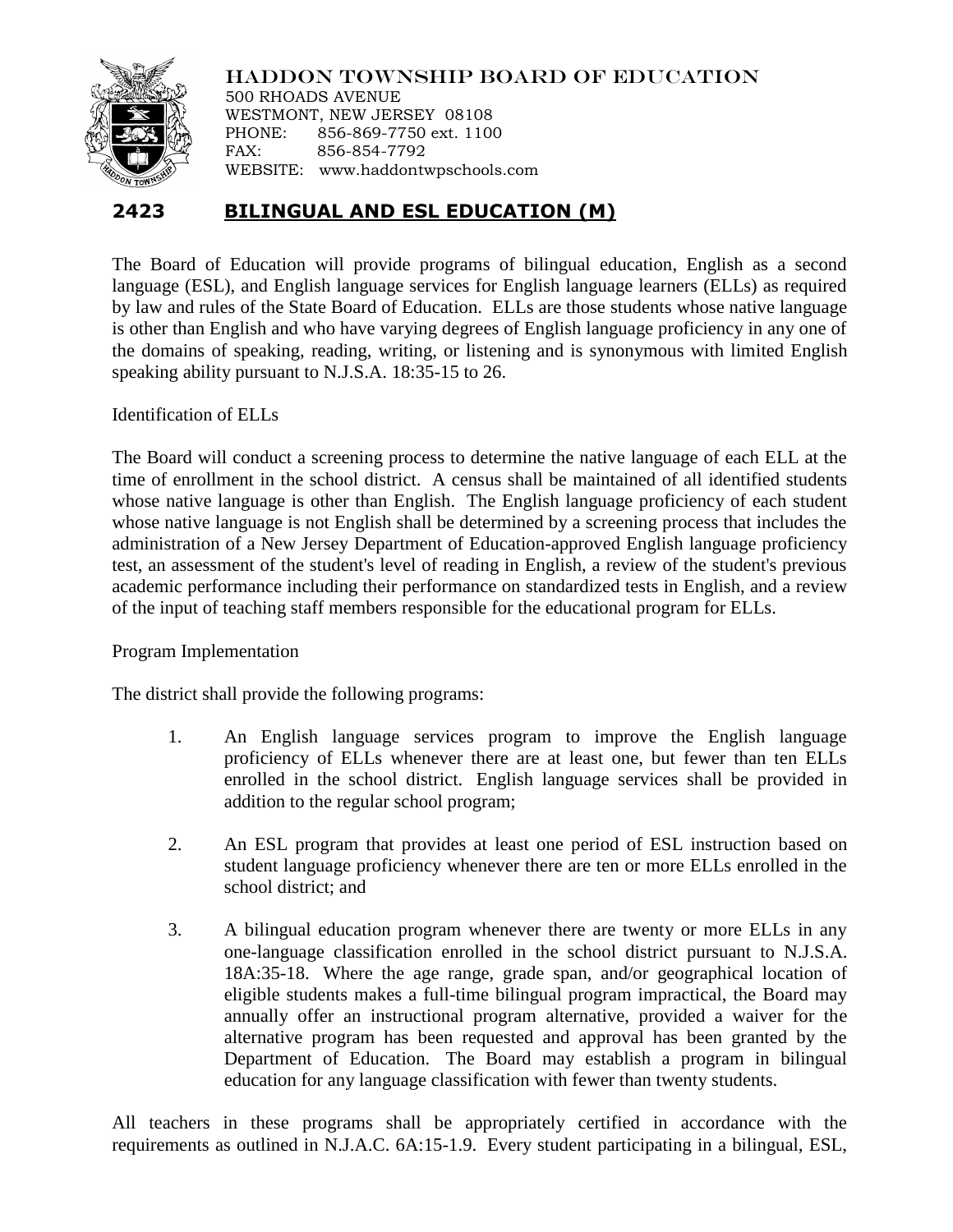

HADDON TOWNSHIP BOARD OF EDUCATION 500 RHOADS AVENUE WESTMONT, NEW JERSEY 08108 PHONE: 856-869-7750 ext. 1100 FAX: 856-854-7792 WEBSITE: www.haddontwpschools.com

## **2423 BILINGUAL AND ESL EDUCATION (M)**

The Board of Education will provide programs of bilingual education, English as a second language (ESL), and English language services for English language learners (ELLs) as required by law and rules of the State Board of Education. ELLs are those students whose native language is other than English and who have varying degrees of English language proficiency in any one of the domains of speaking, reading, writing, or listening and is synonymous with limited English speaking ability pursuant to N.J.S.A. 18:35-15 to 26.

Identification of ELLs

The Board will conduct a screening process to determine the native language of each ELL at the time of enrollment in the school district. A census shall be maintained of all identified students whose native language is other than English. The English language proficiency of each student whose native language is not English shall be determined by a screening process that includes the administration of a New Jersey Department of Education-approved English language proficiency test, an assessment of the student's level of reading in English, a review of the student's previous academic performance including their performance on standardized tests in English, and a review of the input of teaching staff members responsible for the educational program for ELLs.

Program Implementation

The district shall provide the following programs:

- 1. An English language services program to improve the English language proficiency of ELLs whenever there are at least one, but fewer than ten ELLs enrolled in the school district. English language services shall be provided in addition to the regular school program;
- 2. An ESL program that provides at least one period of ESL instruction based on student language proficiency whenever there are ten or more ELLs enrolled in the school district; and
- 3. A bilingual education program whenever there are twenty or more ELLs in any one-language classification enrolled in the school district pursuant to N.J.S.A. 18A:35-18. Where the age range, grade span, and/or geographical location of eligible students makes a full-time bilingual program impractical, the Board may annually offer an instructional program alternative, provided a waiver for the alternative program has been requested and approval has been granted by the Department of Education. The Board may establish a program in bilingual education for any language classification with fewer than twenty students.

All teachers in these programs shall be appropriately certified in accordance with the requirements as outlined in N.J.A.C. 6A:15-1.9. Every student participating in a bilingual, ESL,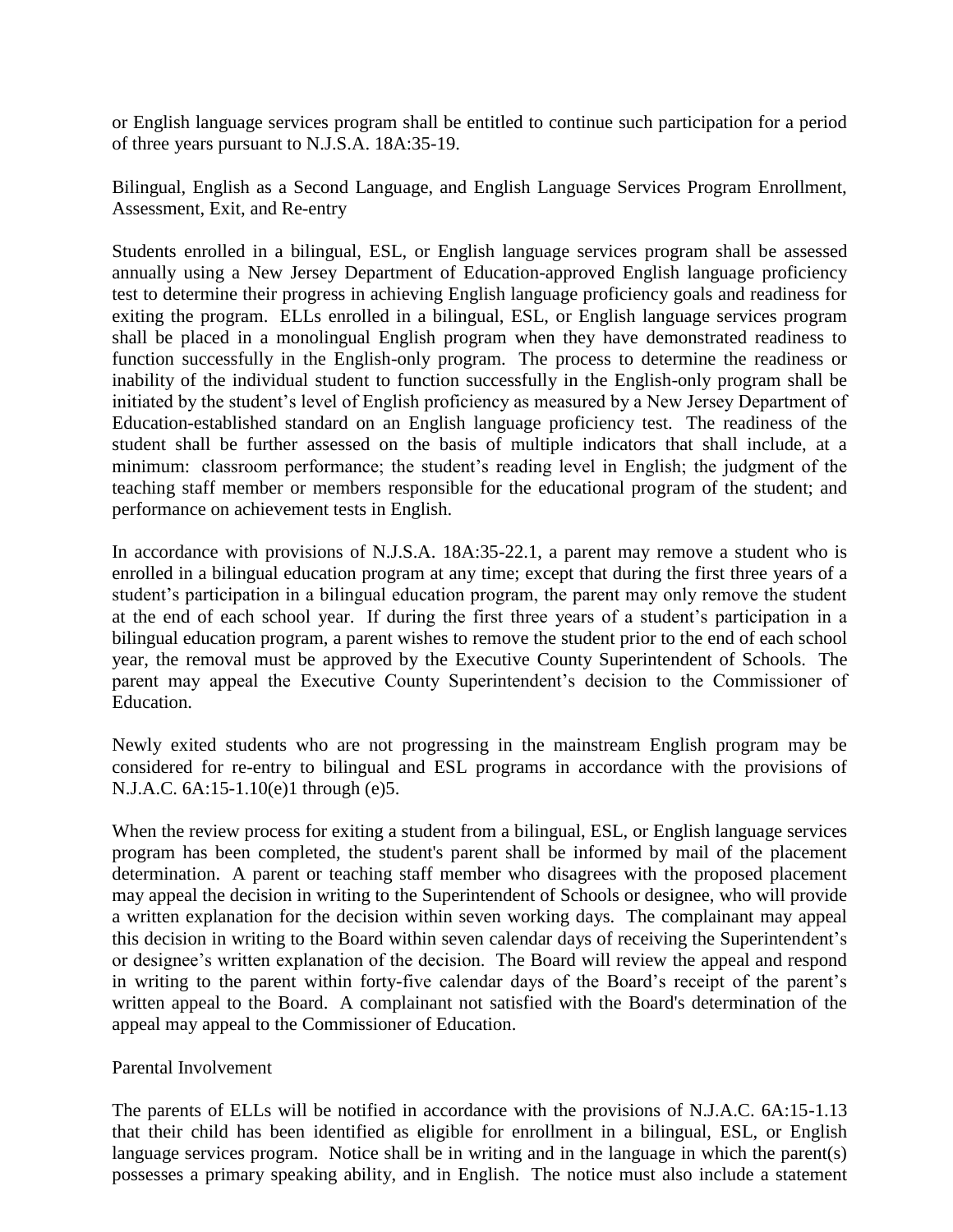or English language services program shall be entitled to continue such participation for a period of three years pursuant to N.J.S.A. 18A:35-19.

Bilingual, English as a Second Language, and English Language Services Program Enrollment, Assessment, Exit, and Re-entry

Students enrolled in a bilingual, ESL, or English language services program shall be assessed annually using a New Jersey Department of Education-approved English language proficiency test to determine their progress in achieving English language proficiency goals and readiness for exiting the program. ELLs enrolled in a bilingual, ESL, or English language services program shall be placed in a monolingual English program when they have demonstrated readiness to function successfully in the English-only program. The process to determine the readiness or inability of the individual student to function successfully in the English-only program shall be initiated by the student's level of English proficiency as measured by a New Jersey Department of Education-established standard on an English language proficiency test. The readiness of the student shall be further assessed on the basis of multiple indicators that shall include, at a minimum: classroom performance; the student's reading level in English; the judgment of the teaching staff member or members responsible for the educational program of the student; and performance on achievement tests in English.

In accordance with provisions of N.J.S.A. 18A:35-22.1, a parent may remove a student who is enrolled in a bilingual education program at any time; except that during the first three years of a student's participation in a bilingual education program, the parent may only remove the student at the end of each school year. If during the first three years of a student's participation in a bilingual education program, a parent wishes to remove the student prior to the end of each school year, the removal must be approved by the Executive County Superintendent of Schools. The parent may appeal the Executive County Superintendent's decision to the Commissioner of Education.

Newly exited students who are not progressing in the mainstream English program may be considered for re-entry to bilingual and ESL programs in accordance with the provisions of N.J.A.C. 6A:15-1.10(e)1 through (e)5.

When the review process for exiting a student from a bilingual, ESL, or English language services program has been completed, the student's parent shall be informed by mail of the placement determination. A parent or teaching staff member who disagrees with the proposed placement may appeal the decision in writing to the Superintendent of Schools or designee, who will provide a written explanation for the decision within seven working days. The complainant may appeal this decision in writing to the Board within seven calendar days of receiving the Superintendent's or designee's written explanation of the decision. The Board will review the appeal and respond in writing to the parent within forty-five calendar days of the Board's receipt of the parent's written appeal to the Board. A complainant not satisfied with the Board's determination of the appeal may appeal to the Commissioner of Education.

## Parental Involvement

The parents of ELLs will be notified in accordance with the provisions of N.J.A.C. 6A:15-1.13 that their child has been identified as eligible for enrollment in a bilingual, ESL, or English language services program. Notice shall be in writing and in the language in which the parent(s) possesses a primary speaking ability, and in English. The notice must also include a statement